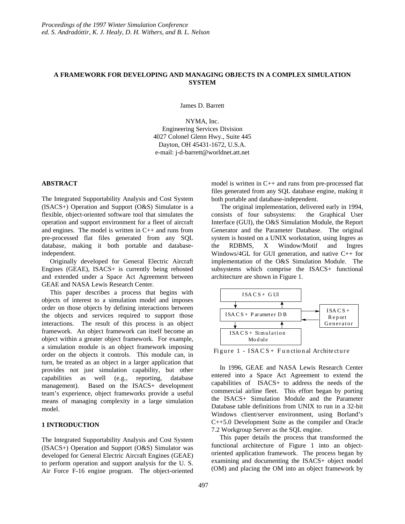# **A FRAMEWORK FOR DEVELOPING AND MANAGING OBJECTS IN A COMPLEX SIMULATION SYSTEM**

James D. Barrett

NYMA, Inc. Engineering Services Division 4027 Colonel Glenn Hwy., Suite 445 Dayton, OH 45431-1672, U.S.A. e-mail: j-d-barrett@worldnet.att.net

### **ABSTRACT**

The Integrated Supportability Analysis and Cost System (ISACS+) Operation and Support (O&S) Simulator is a flexible, object-oriented software tool that simulates the operation and support environment for a fleet of aircraft and engines. The model is written in C++ and runs from pre-processed flat files generated from any SQL database, making it both portable and databaseindependent.

 Originally developed for General Electric Aircraft Engines (GEAE), ISACS+ is currently being rehosted and extended under a Space Act Agreement between GEAE and NASA Lewis Research Center.

 This paper describes a process that begins with objects of interest to a simulation model and imposes order on those objects by defining interactions between the objects and services required to support those interactions. The result of this process is an object framework. An object framework can itself become an object within a greater object framework. For example, a simulation module is an object framework imposing order on the objects it controls. This module can, in turn, be treated as an object in a larger application that provides not just simulation capability, but other capabilities as well (e.g., reporting, database management). Based on the ISACS+ development team's experience, object frameworks provide a useful means of managing complexity in a large simulation model.

### **1 INTRODUCTION**

The Integrated Supportability Analysis and Cost System (ISACS+) Operation and Support (O&S) Simulator was developed for General Electric Aircraft Engines (GEAE) to perform operation and support analysis for the U. S. Air Force F-16 engine program. The object-oriented

model is written in C++ and runs from pre-processed flat files generated from any SQL database engine, making it both portable and database-independent.

 The original implementation, delivered early in 1994, consists of four subsystems: the Graphical User Interface (GUI), the O&S Simulation Module, the Report Generator and the Parameter Database. The original system is hosted on a UNIX workstation, using Ingres as the RDBMS, X Window/Motif and Ingres Windows/4GL for GUI generation, and native C++ for implementation of the O&S Simulation Module. The subsystems which comprise the ISACS+ functional architecture are shown in Figure 1.



Figure 1 - ISACS+ Functional Archite cture

 In 1996, GEAE and NASA Lewis Research Center entered into a Space Act Agreement to extend the capabilities of ISACS+ to address the needs of the commercial airline fleet. This effort began by porting the ISACS+ Simulation Module and the Parameter Database table definitions from UNIX to run in a 32-bit Windows client/server environment, using Borland's C++5.0 Development Suite as the compiler and Oracle 7.2 Workgroup Server as the SQL engine.

 This paper details the process that transformed the functional architecture of Figure 1 into an objectoriented application framework. The process began by examining and documenting the ISACS+ object model (OM) and placing the OM into an object framework by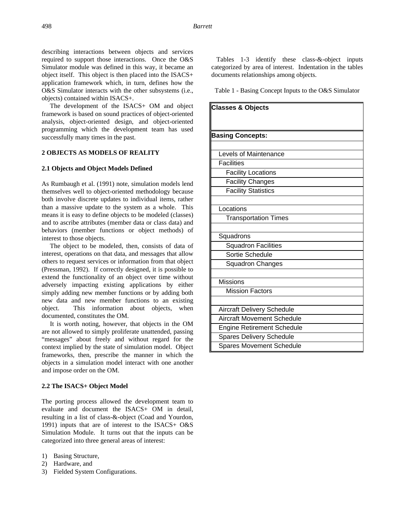describing interactions between objects and services required to support those interactions. Once the O&S Simulator module was defined in this way, it became an object itself. This object is then placed into the ISACS+ application framework which, in turn, defines how the O&S Simulator interacts with the other subsystems (i.e., objects) contained within ISACS+.

 The development of the ISACS+ OM and object framework is based on sound practices of object-oriented analysis, object-oriented design, and object-oriented programming which the development team has used successfully many times in the past.

# **2 OBJECTS AS MODELS OF REALITY**

## **2.1 Objects and Object Models Defined**

As Rumbaugh et al. (1991) note, simulation models lend themselves well to object-oriented methodology because both involve discrete updates to individual items, rather than a massive update to the system as a whole. This means it is easy to define objects to be modeled (classes) and to ascribe attributes (member data or class data) and behaviors (member functions or object methods) of interest to those objects.

 The object to be modeled, then, consists of data of interest, operations on that data, and messages that allow others to request services or information from that object (Pressman, 1992). If correctly designed, it is possible to extend the functionality of an object over time without adversely impacting existing applications by either simply adding new member functions or by adding both new data and new member functions to an existing object. This information about objects, when documented, constitutes the OM.

 It is worth noting, however, that objects in the OM are not allowed to simply proliferate unattended, passing "messages" about freely and without regard for the context implied by the state of simulation model. Object frameworks, then, prescribe the manner in which the objects in a simulation model interact with one another and impose order on the OM.

### **2.2 The ISACS+ Object Model**

The porting process allowed the development team to evaluate and document the ISACS+ OM in detail, resulting in a list of class-&-object (Coad and Yourdon, 1991) inputs that are of interest to the ISACS+ O&S Simulation Module. It turns out that the inputs can be categorized into three general areas of interest:

- 1) Basing Structure,
- 2) Hardware, and
- 3) Fielded System Configurations.

 Tables 1-3 identify these class-&-object inputs categorized by area of interest. Indentation in the tables documents relationships among objects.

Table 1 - Basing Concept Inputs to the O&S Simulator

| <b>Classes &amp; Objects</b>      |
|-----------------------------------|
|                                   |
|                                   |
| <b>Basing Concepts:</b>           |
| <b>Levels of Maintenance</b>      |
| <b>Facilities</b>                 |
|                                   |
| <b>Facility Locations</b>         |
| <b>Facility Changes</b>           |
| <b>Facility Statistics</b>        |
|                                   |
| Locations                         |
| <b>Transportation Times</b>       |
|                                   |
| Squadrons                         |
| <b>Squadron Facilities</b>        |
| Sortie Schedule                   |
| <b>Squadron Changes</b>           |
|                                   |
| <b>Missions</b>                   |
| <b>Mission Factors</b>            |
|                                   |
| <b>Aircraft Delivery Schedule</b> |
| <b>Aircraft Movement Schedule</b> |
| <b>Engine Retirement Schedule</b> |
| <b>Spares Delivery Schedule</b>   |
| <b>Spares Movement Schedule</b>   |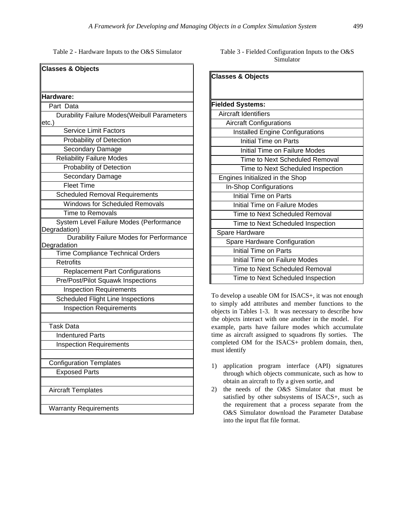Table 2 - Hardware Inputs to the O&S Simulator

| <b>Classes &amp; Objects</b>                            |
|---------------------------------------------------------|
|                                                         |
|                                                         |
| Hardware:                                               |
| Part Data                                               |
| <b>Durability Failure Modes (Weibull Parameters</b>     |
| etc.)                                                   |
| Service Limit Factors                                   |
| Probability of Detection                                |
| Secondary Damage                                        |
| <b>Reliability Failure Modes</b>                        |
| Probability of Detection                                |
| Secondary Damage                                        |
| <b>Fleet Time</b>                                       |
| <b>Scheduled Removal Requirements</b>                   |
| <b>Windows for Scheduled Removals</b>                   |
| <b>Time to Removals</b>                                 |
| System Level Failure Modes (Performance                 |
| Degradation)                                            |
| Durability Failure Modes for Performance<br>Degradation |
| Time Compliance Technical Orders                        |
| <b>Retrofits</b>                                        |
| <b>Replacement Part Configurations</b>                  |
| Pre/Post/Pilot Squawk Inspections                       |
| <b>Inspection Requirements</b>                          |
| <b>Scheduled Flight Line Inspections</b>                |
| <b>Inspection Requirements</b>                          |
|                                                         |
| Task Data                                               |
| <b>Indentured Parts</b>                                 |
| <b>Inspection Requirements</b>                          |
|                                                         |
| <b>Configuration Templates</b>                          |
| <b>Exposed Parts</b>                                    |
|                                                         |
| <b>Aircraft Templates</b>                               |
| <b>Warranty Requirements</b>                            |

| Table 3 - Fielded Configuration Inputs to the O&S |  |  |
|---------------------------------------------------|--|--|
| Simulator                                         |  |  |

| <b>Classes &amp; Objects</b>           |
|----------------------------------------|
|                                        |
|                                        |
| <b>Fielded Systems:</b>                |
| <b>Aircraft Identifiers</b>            |
| <b>Aircraft Configurations</b>         |
| <b>Installed Engine Configurations</b> |
| Initial Time on Parts                  |
| Initial Time on Failure Modes          |
| Time to Next Scheduled Removal         |
| Time to Next Scheduled Inspection      |
| Engines Initialized in the Shop        |
| In-Shop Configurations                 |
| Initial Time on Parts                  |
| Initial Time on Failure Modes          |
| Time to Next Scheduled Removal         |
| Time to Next Scheduled Inspection      |
| Spare Hardware                         |
| Spare Hardware Configuration           |
| Initial Time on Parts                  |
| Initial Time on Failure Modes          |
| Time to Next Scheduled Removal         |
| Time to Next Scheduled Inspection      |

To develop a useable OM for ISACS+, it was not enough to simply add attributes and member functions to the objects in Tables 1-3. It was necessary to describe how the objects interact with one another in the model. For example, parts have failure modes which accumulate time as aircraft assigned to squadrons fly sorties. The completed OM for the ISACS+ problem domain, then, must identify

- 1) application program interface (API) signatures through which objects communicate, such as how to obtain an aircraft to fly a given sortie, and
- 2) the needs of the O&S Simulator that must be satisfied by other subsystems of ISACS+, such as the requirement that a process separate from the O&S Simulator download the Parameter Database into the input flat file format.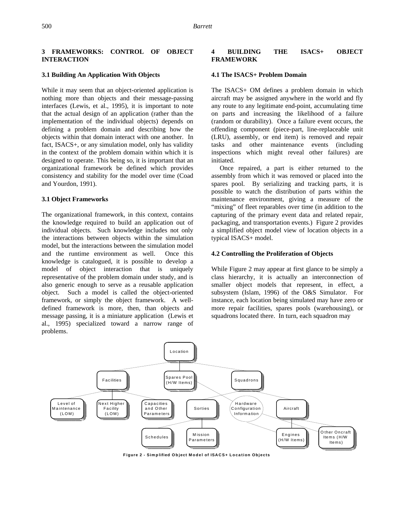## **3 FRAMEWORKS: CONTROL OF OBJECT INTERACTION**

#### **3.1 Building An Application With Objects**

While it may seem that an object-oriented application is nothing more than objects and their message-passing interfaces (Lewis, et al., 1995), it is important to note that the actual design of an application (rather than the implementation of the individual objects) depends on defining a problem domain and describing how the objects within that domain interact with one another. In fact, ISACS+, or any simulation model, only has validity in the context of the problem domain within which it is designed to operate. This being so, it is important that an organizational framework be defined which provides consistency and stability for the model over time (Coad and Yourdon, 1991).

#### **3.1 Object Frameworks**

The organizational framework, in this context, contains the knowledge required to build an application out of individual objects. Such knowledge includes not only the interactions between objects within the simulation model, but the interactions between the simulation model and the runtime environment as well. Once this knowledge is catalogued, it is possible to develop a model of object interaction that is uniquely representative of the problem domain under study, and is also generic enough to serve as a reusable application object. Such a model is called the object-oriented framework, or simply the object framework. A welldefined framework is more, then, than objects and message passing, it is a miniature application (Lewis et al., 1995) specialized toward a narrow range of problems.

## **4 BUILDING THE ISACS+ OBJECT FRAMEWORK**

#### **4.1 The ISACS+ Problem Domain**

The ISACS+ OM defines a problem domain in which aircraft may be assigned anywhere in the world and fly any route to any legitimate end-point, accumulating time on parts and increasing the likelihood of a failure (random or durability). Once a failure event occurs, the offending component (piece-part, line-replaceable unit (LRU), assembly, or end item) is removed and repair tasks and other maintenance events (including inspections which might reveal other failures) are initiated.

 Once repaired, a part is either returned to the assembly from which it was removed or placed into the spares pool. By serializing and tracking parts, it is possible to watch the distribution of parts within the maintenance environment, giving a measure of the "mixing" of fleet reparables over time (in addition to the capturing of the primary event data and related repair, packaging, and transportation events.) Figure 2 provides a simplified object model view of location objects in a typical ISACS+ model.

#### **4.2 Controlling the Proliferation of Objects**

While Figure 2 may appear at first glance to be simply a class hierarchy, it is actually an interconnection of smaller object models that represent, in effect, a subsystem (Islam, 1996) of the O&S Simulator. For instance, each location being simulated may have zero or more repair facilities, spares pools (warehousing), or squadrons located there. In turn, each squadron may



**F igure 2 - Sim p lified Ob ject Mode l of ISACS+ Location Objects**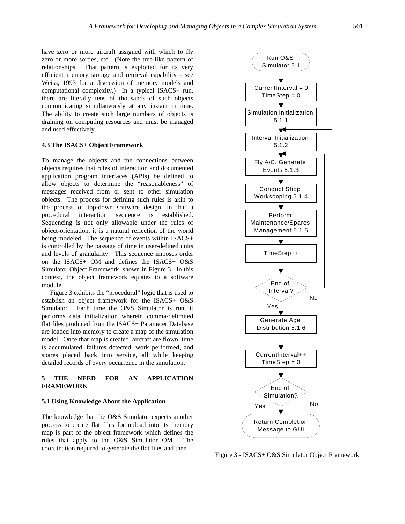have zero or more aircraft assigned with which to fly zero or more sorties, etc. (Note the tree-like pattern of relationships. That pattern is exploited for its very efficient memory storage and retrieval capability - see Weiss, 1993 for a discussion of memory models and computational complexity.) In a typical ISACS+ run, there are literally tens of thousands of such objects communicating simultaneously at any instant in time. The ability to create such large numbers of objects is draining on computing resources and must be managed and used effectively.

## **4.3 The ISACS+ Object Framework**

To manage the objects and the connections between objects requires that rules of interaction and documented application program interfaces (APIs) be defined to allow objects to determine the "reasonableness" of messages received from or sent to other simulation objects. The process for defining such rules is akin to the process of top-down software design, in that a procedural interaction sequence is established. Sequencing is not only allowable under the rules of object-orientation, it is a natural reflection of the world being modeled. The sequence of events within ISACS+ is controlled by the passage of time in user-defined units and levels of granularity. This sequence imposes order on the ISACS+ OM and defines the ISACS+ O&S Simulator Object Framework, shown in Figure 3. In this context, the object framework equates to a software module.

 Figure 3 exhibits the "procedural" logic that is used to establish an object framework for the ISACS+ O&S Simulator. Each time the O&S Simulator is run, it performs data initialization wherein comma-delimited flat files produced from the ISACS+ Parameter Database are loaded into memory to create a map of the simulation model. Once that map is created, aircraft are flown, time is accumulated, failures detected, work performed, and spares placed back into service, all while keeping detailed records of every occurrence in the simulation.

## **5 THE NEED FOR AN APPLICATION FRAMEWORK**

### **5.1 Using Knowledge About the Application**

The knowledge that the O&S Simulator expects another process to create flat files for upload into its memory map is part of the object framework which defines the rules that apply to the O&S Simulator OM. The coordination required to generate the flat files and then



Figure 3 - ISACS+ O&S Simulator Object Framework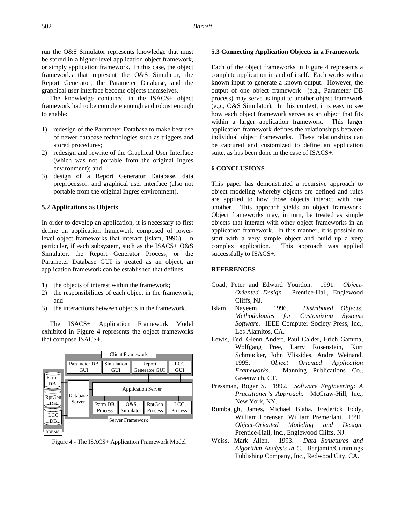run the O&S Simulator represents knowledge that must be stored in a higher-level application object framework, or simply application framework. In this case, the object frameworks that represent the O&S Simulator, the Report Generator, the Parameter Database, and the graphical user interface become objects themselves.

 The knowledge contained in the ISACS+ object framework had to be complete enough and robust enough to enable:

- 1) redesign of the Parameter Database to make best use of newer database technologies such as triggers and stored procedures;
- 2) redesign and rewrite of the Graphical User Interface (which was not portable from the original Ingres environment); and
- 3) design of a Report Generator Database, data preprocessor, and graphical user interface (also not portable from the original Ingres environment).

### **5.2 Applications as Objects**

In order to develop an application, it is necessary to first define an application framework composed of lowerlevel object frameworks that interact (Islam, 1996). In particular, if each subsystem, such as the ISACS+ O&S Simulator, the Report Generator Process, or the Parameter Database GUI is treated as an object, an application framework can be established that defines

- 1) the objects of interest within the framework;
- 2) the responsibilities of each object in the framework; and
- 3) the interactions between objects in the framework.

 The ISACS+ Application Framework Model exhibited in Figure 4 represents the object frameworks that compose ISACS+.



Figure 4 - The ISACS+ Application Framework Model

#### **5.3 Connecting Application Objects in a Framework**

Each of the object frameworks in Figure 4 represents a complete application in and of itself. Each works with a known input to generate a known output. However, the output of one object framework (e.g., Parameter DB process) may serve as input to another object framework (e.g., O&S Simulator). In this context, it is easy to see how each object framework serves as an object that fits within a larger application framework. This larger application framework defines the relationships between individual object frameworks. These relationships can be captured and customized to define an application suite, as has been done in the case of ISACS+.

#### **6 CONCLUSIONS**

This paper has demonstrated a recursive approach to object modeling whereby objects are defined and rules are applied to how those objects interact with one another. This approach yields an object framework. Object frameworks may, in turn, be treated as simple objects that interact with other object frameworks in an application framework. In this manner, it is possible to start with a very simple object and build up a very complex application. This approach was applied successfully to ISACS+.

## **REFERENCES**

- Coad, Peter and Edward Yourdon. 1991. *Object-Oriented Design.* Prentice-Hall, Englewood Cliffs, NJ.
- Islam, Nayeem. 1996. *Distributed Objects: Methodologies for Customizing Systems Software.* IEEE Computer Society Press, Inc., Los Alamitos, CA.
- Lewis, Ted, Glenn Andert, Paul Calder, Erich Gamma, Wolfgang Pree, Larry Rosenstein, Kurt Schmucker, John Vlissides, Andre Weinand. 1995. *Object Oriented Application Frameworks.* Manning Publications Co., Greenwich, CT.
- Pressman, Roger S. 1992. *Software Engineering: A Practitioner's Approach.* McGraw-Hill, Inc., New York, NY.
- Rumbaugh, James, Michael Blaha, Frederick Eddy, William Lorensen, William Premerlani. 1991. *Object-Oriented Modeling and Design.* Prentice-Hall, Inc., Englewood Cliffs, NJ.
- Weiss, Mark Allen. 1993. *Data Structures and Algorithm Analysis in C.* Benjamin/Cummings Publishing Company, Inc., Redwood City, CA.